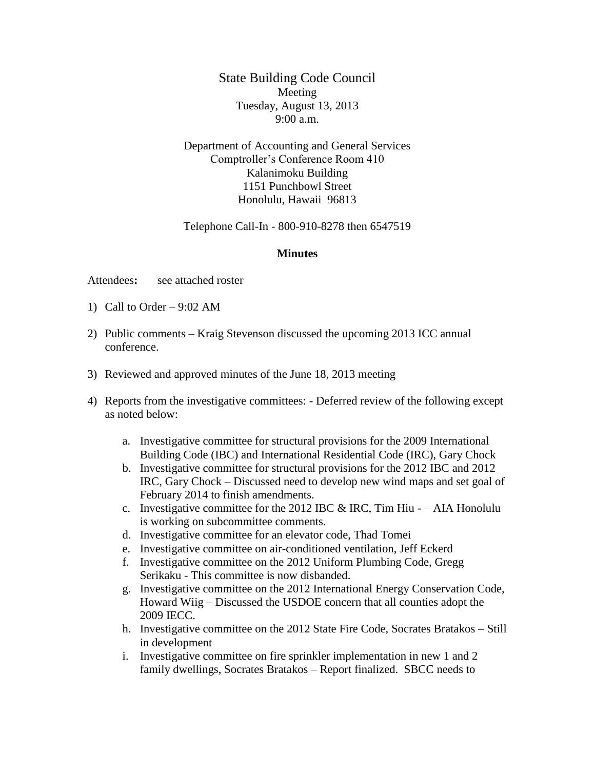State Building Code Council Meeting Tuesday, August 13, 2013 9:00 a.m.

Department of Accounting and General Services Comptroller's Conference Room 410 Kalanimoku Building 1151 Punchbowl Street Honolulu, Hawaii 96813

Telephone Call-In - 800-910-8278 then 6547519

## **Minutes**

Attendees**:** see attached roster

- 1) Call to Order 9:02 AM
- 2) Public comments Kraig Stevenson discussed the upcoming 2013 ICC annual conference.
- 3) Reviewed and approved minutes of the June 18, 2013 meeting
- 4) Reports from the investigative committees: Deferred review of the following except as noted below:
	- a. Investigative committee for structural provisions for the 2009 International Building Code (IBC) and International Residential Code (IRC), Gary Chock
	- b. Investigative committee for structural provisions for the 2012 IBC and 2012 IRC, Gary Chock – Discussed need to develop new wind maps and set goal of February 2014 to finish amendments.
	- c. Investigative committee for the 2012 IBC  $&$  IRC, Tim Hiu – AIA Honolulu is working on subcommittee comments.
	- d. Investigative committee for an elevator code, Thad Tomei
	- e. Investigative committee on air-conditioned ventilation, Jeff Eckerd
	- f. Investigative committee on the 2012 Uniform Plumbing Code, Gregg Serikaku - This committee is now disbanded.
	- g. Investigative committee on the 2012 International Energy Conservation Code, Howard Wiig – Discussed the USDOE concern that all counties adopt the 2009 IECC.
	- h. Investigative committee on the 2012 State Fire Code, Socrates Bratakos Still in development
	- i. Investigative committee on fire sprinkler implementation in new 1 and 2 family dwellings, Socrates Bratakos – Report finalized. SBCC needs to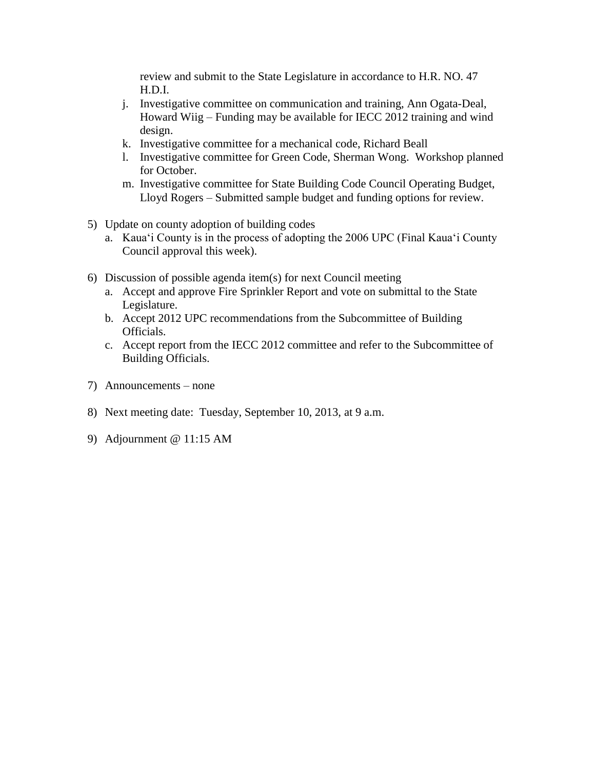review and submit to the State Legislature in accordance to H.R. NO. 47 H.D.I.

- j. Investigative committee on communication and training, Ann Ogata-Deal, Howard Wiig – Funding may be available for IECC 2012 training and wind design.
- k. Investigative committee for a mechanical code, Richard Beall
- l. Investigative committee for Green Code, Sherman Wong. Workshop planned for October.
- m. Investigative committee for State Building Code Council Operating Budget, Lloyd Rogers – Submitted sample budget and funding options for review.
- 5) Update on county adoption of building codes
	- a. Kaua'i County is in the process of adopting the 2006 UPC (Final Kaua'i County Council approval this week).
- 6) Discussion of possible agenda item(s) for next Council meeting
	- a. Accept and approve Fire Sprinkler Report and vote on submittal to the State Legislature.
	- b. Accept 2012 UPC recommendations from the Subcommittee of Building Officials.
	- c. Accept report from the IECC 2012 committee and refer to the Subcommittee of Building Officials.
- 7) Announcements none
- 8) Next meeting date: Tuesday, September 10, 2013, at 9 a.m.
- 9) Adjournment @ 11:15 AM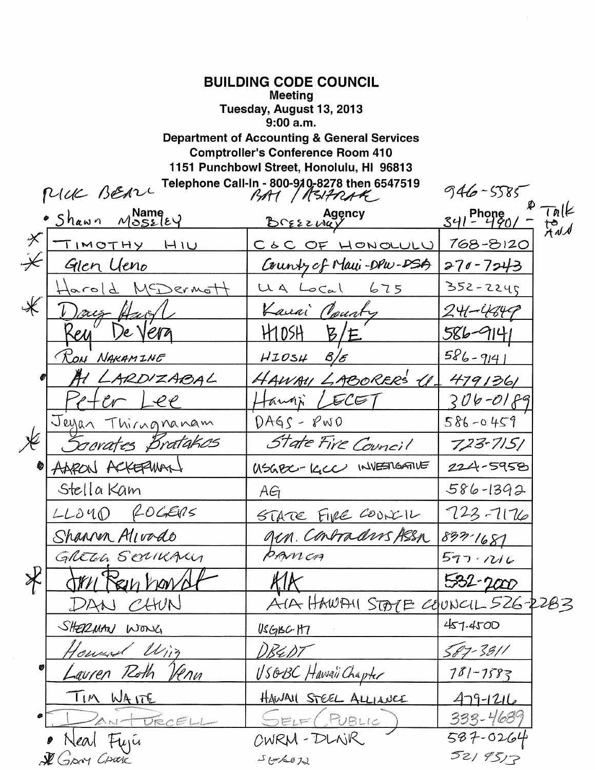| <b>BUILDING CODE COUNCIL</b><br>Meeting<br>Tuesday, August 13, 2013<br>9:00a.m.<br><b>Department of Accounting &amp; General Services</b><br><b>Comptroller's Conference Room 410</b><br>1151 Punchbowl Street, Honolulu, HI 96813<br>Telephone Call-In - 800-910-8278 then 6547519<br>PUCK BEARC<br>$946 - 5585$<br>BAY / REIFRAG |                                   |                |           |
|------------------------------------------------------------------------------------------------------------------------------------------------------------------------------------------------------------------------------------------------------------------------------------------------------------------------------------|-----------------------------------|----------------|-----------|
| · Shawn Mossley                                                                                                                                                                                                                                                                                                                    | Agency<br>Breszway                | $341 - 490/$   | te<br>Add |
| $\cancel{\times}$<br>TIMOTHY<br>H1U                                                                                                                                                                                                                                                                                                | C S C OF HONOLULU                 | 768-8120       |           |
| $\divideontimes$<br>Glen Ueno                                                                                                                                                                                                                                                                                                      | County of Maui-DPw-DSA            | $270 - 7243$   |           |
| MEDermot<br>$ q_{\alpha} $                                                                                                                                                                                                                                                                                                         | 675<br>UA Local                   | $352 - 2245$   |           |
| ∦                                                                                                                                                                                                                                                                                                                                  | Kanai Pourty                      | $24 - 484$     |           |
| <u> Келл</u><br>Ve Vera                                                                                                                                                                                                                                                                                                            | B<br>HIDSH<br>$^{\prime}$ F $\,$  | <u>586-41</u>  |           |
| RON NAKAMINE                                                                                                                                                                                                                                                                                                                       | HIOSH 8/E                         | $586 - 9141$   |           |
| LARDIZABAL                                                                                                                                                                                                                                                                                                                         | HAWAY LABORER'S (1)               | 4791361        |           |
|                                                                                                                                                                                                                                                                                                                                    | ECE                               | 2 <i>06-01</i> |           |
| Jeyan Thirngnanam                                                                                                                                                                                                                                                                                                                  | $DAGS - PWO$                      | $586 - 0459$   |           |
| ocrates Bratakos                                                                                                                                                                                                                                                                                                                   | State Fire Council                | $723 - 7151$   |           |
| ACKERWA<br>AARON                                                                                                                                                                                                                                                                                                                   | USGBC-IGCC INVESTIGATIVE          | 224-5958       |           |
| Stella Kam                                                                                                                                                                                                                                                                                                                         | AG                                | $586 - 1392$   |           |
| $LLOUO$ fogens                                                                                                                                                                                                                                                                                                                     | STARE FIRE COONILL                | $723 - 7176$   |           |
| Shannen Alivado                                                                                                                                                                                                                                                                                                                    | gen. Contraduis Assa              | 897-1681       |           |
| GRETH SERIKALY                                                                                                                                                                                                                                                                                                                     | PANCA                             | 597.1216       |           |
| $\cancel{\mathbf{X}}$<br>JAN Rein harry                                                                                                                                                                                                                                                                                            | KIK                               | 532-2000       |           |
| DAN CHUN                                                                                                                                                                                                                                                                                                                           | AIA HAWAII STOTE COUNCIL 526-2283 |                |           |
| SHERMAN WONG                                                                                                                                                                                                                                                                                                                       | USGBC·H7                          | 457.4500       |           |
| loused Wing                                                                                                                                                                                                                                                                                                                        | りR4DT                             | 587-3811       |           |
| ♥ <br>Lauren Roth<br>'le nu                                                                                                                                                                                                                                                                                                        | <u> USOBC</u> Hawaii Chapter      | $781 - 7587$   |           |
| <u>TIM WAITE</u>                                                                                                                                                                                                                                                                                                                   | HAWAIL STEEL ALLIANCE             | 479-1216       |           |
| ANTOECELL                                                                                                                                                                                                                                                                                                                          | SELE (RUBLIC                      | 333-4689       |           |
| Neal Fujú                                                                                                                                                                                                                                                                                                                          | CWRM-DLNR                         | 587-0264       |           |
| & Gray Crack                                                                                                                                                                                                                                                                                                                       | 5662                              | 5219517        |           |

 $\label{eq:2} \frac{1}{\sqrt{2}}\sum_{i=1}^n\frac{1}{\sqrt{2}}\sum_{i=1}^n\frac{1}{\sqrt{2}}\sum_{i=1}^n\frac{1}{\sqrt{2}}\sum_{i=1}^n\frac{1}{\sqrt{2}}\sum_{i=1}^n\frac{1}{\sqrt{2}}\sum_{i=1}^n\frac{1}{\sqrt{2}}\sum_{i=1}^n\frac{1}{\sqrt{2}}\sum_{i=1}^n\frac{1}{\sqrt{2}}\sum_{i=1}^n\frac{1}{\sqrt{2}}\sum_{i=1}^n\frac{1}{\sqrt{2}}\sum_{i=1}^n\frac{1$